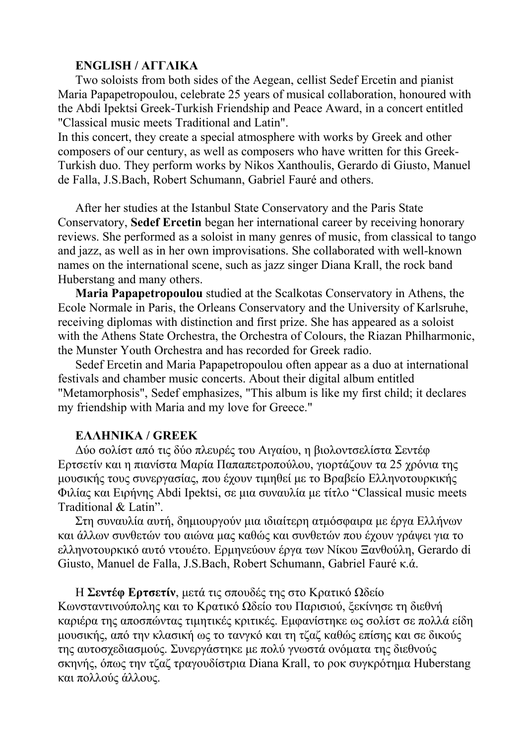## **ENGLISH / ΑΓΓΛΙΚΑ**

Two soloists from both sides of the Aegean, cellist Sedef Ercetin and pianist Maria Papapetropoulou, celebrate 25 years of musical collaboration, honoured with the Abdi Ipektsi Greek-Turkish Friendship and Peace Award, in a concert entitled "Classical music meets Traditional and Latin".

In this concert, they create a special atmosphere with works by Greek and other composers of our century, as well as composers who have written for this Greek-Turkish duo. They perform works by Nikos Xanthoulis, Gerardo di Giusto, Manuel de Falla, J.S.Bach, Robert Schumann, Gabriel Fauré and others.

After her studies at the Istanbul State Conservatory and the Paris State Conservatory, **Sedef Ercetin** began her international career by receiving honorary reviews. She performed as a soloist in many genres of music, from classical to tango and jazz, as well as in her own improvisations. She collaborated with well-known names on the international scene, such as jazz singer Diana Krall, the rock band Huberstang and many others.

**Maria Papapetropoulou** studied at the Scalkotas Conservatory in Athens, the Ecole Normale in Paris, the Orleans Conservatory and the University of Karlsruhe, receiving diplomas with distinction and first prize. She has appeared as a soloist with the Athens State Orchestra, the Orchestra of Colours, the Riazan Philharmonic, the Munster Youth Orchestra and has recorded for Greek radio.

Sedef Ercetin and Maria Papapetropoulou often appear as a duo at international festivals and chamber music concerts. About their digital album entitled "Metamorphosis", Sedef emphasizes, "This album is like my first child; it declares my friendship with Maria and my love for Greece."

## **ΕΛΛΗΝΙΚΑ / GREEK**

Δύο σολίστ από τις δύο πλευρές του Αιγαίου, η βιολοντσελίστα Σεντέφ Ερτσετίν και η πιανίστα Μαρία Παπαπετροπούλου, γιορτάζουν τα 25 χρόνια της μουσικής τους συνεργασίας, που έχουν τιμηθεί με το Βραβείο Ελληνοτουρκικής Φιλίας και Ειρήνης Abdi Ipektsi, σε μια συναυλία με τίτλο "Classical music meets Traditional & Latin".

Στη συναυλία αυτή, δημιουργούν μια ιδιαίτερη ατμόσφαιρα με έργα Ελλήνων και άλλων συνθετών του αιώνα μας καθώς και συνθετών που έχουν γράψει για το ελληνοτουρκικό αυτό ντουέτο. Ερμηνεύουν έργα των Νίκου Ξανθούλη, Gerardo di Giusto, Manuel de Falla, J.S.Bach, Robert Schumann, Gabriel Fauré κ.ά.

Η **Σεντέφ Ερτσετίν**, μετά τις σπουδές της στο Κρατικό Ωδείο Κωνσταντινούπολης και το Κρατικό Ωδείο του Παρισιού, ξεκίνησε τη διεθνή καριέρα της αποσπώντας τιμητικές κριτικές. Εμφανίστηκε ως σολίστ σε πολλά είδη μουσικής, από την κλασική ως το τανγκό και τη τζαζ καθώς επίσης και σε δικούς της αυτοσχεδιασμούς. Συνεργάστηκε με πολύ γνωστά ονόματα της διεθνούς σκηνής, όπως την τζαζ τραγουδίστρια Diana Krall, το ροκ συγκρότημα Huberstang και πολλούς άλλους.